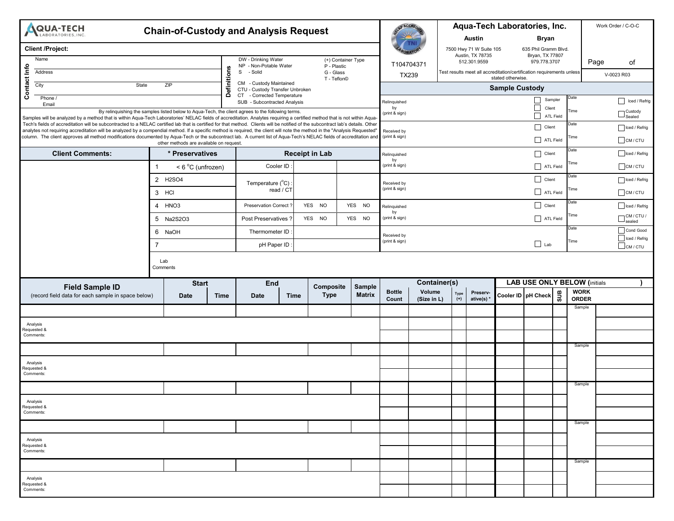| <b>AQUA-TECH</b><br><b>Chain-of-Custody and Analysis Request</b><br>LABORATORIES, INC.                                                                                                                                                                                                                                                                                                         |                                    |             |                                                               |                                                                      |  |                                   |                      |                            |                      | Aqua-Tech Laboratories, Inc. |                                             | Work Order / C-O-C                                                    |                                     |                                         |                            |                        |  |
|------------------------------------------------------------------------------------------------------------------------------------------------------------------------------------------------------------------------------------------------------------------------------------------------------------------------------------------------------------------------------------------------|------------------------------------|-------------|---------------------------------------------------------------|----------------------------------------------------------------------|--|-----------------------------------|----------------------|----------------------------|----------------------|------------------------------|---------------------------------------------|-----------------------------------------------------------------------|-------------------------------------|-----------------------------------------|----------------------------|------------------------|--|
|                                                                                                                                                                                                                                                                                                                                                                                                |                                    |             |                                                               |                                                                      |  |                                   |                      |                            |                      |                              | <b>Austin</b>                               |                                                                       | <b>Bryan</b>                        |                                         |                            |                        |  |
| <b>Client /Project:</b>                                                                                                                                                                                                                                                                                                                                                                        |                                    |             |                                                               |                                                                      |  |                                   |                      |                            |                      |                              | 7500 Hwy 71 W Suite 105<br>Austin, TX 78735 |                                                                       |                                     | 635 Phil Gramm Blvd.<br>Bryan, TX 77807 |                            |                        |  |
| Name                                                                                                                                                                                                                                                                                                                                                                                           |                                    |             | DW - Drinking Water<br>NP - Non-Potable Water<br>- Solid<br>S |                                                                      |  | (+) Container Type<br>P - Plastic |                      | 512.301.9559<br>T104704371 |                      |                              | 979.778.3707                                |                                                                       |                                     | Page                                    | οf                         |                        |  |
| Address                                                                                                                                                                                                                                                                                                                                                                                        |                                    | efinitions  |                                                               |                                                                      |  | G - Glass<br>T - Teflon©          |                      | TX239                      |                      |                              | stated otherwise.                           | Test results meet all accreditation/certification requirements unless |                                     |                                         | V-0023 R03                 |                        |  |
| Contact Info<br>City<br>State<br>ZIP                                                                                                                                                                                                                                                                                                                                                           |                                    |             |                                                               | CM - Custody Maintained<br>CTU - Custody Transfer Unbroken           |  |                                   |                      | <b>Sample Custody</b>      |                      |                              |                                             |                                                                       |                                     |                                         |                            |                        |  |
| Phone /<br>Email                                                                                                                                                                                                                                                                                                                                                                               |                                    |             | Ŏ                                                             | <b>CT</b><br>- Corrected Temperature<br>SUB - Subcontracted Analysis |  |                                   |                      | Relinquished               |                      |                              |                                             |                                                                       | Date<br>Sampler                     |                                         |                            | Iced / Refrig          |  |
| By relinquishing the samples listed below to Aqua-Tech, the client agrees to the following terms.                                                                                                                                                                                                                                                                                              |                                    |             |                                                               |                                                                      |  |                                   | by<br>(print & sign) |                            |                      |                              |                                             | $\Box$<br>Client<br>$\Box$                                            | Time<br><b>ATL Field</b>            |                                         | – Custody<br>┘Sealed       |                        |  |
| Samples will be analyzed by a method that is within Aqua-Tech Laboratories' NELAC fields of accreditation. Analytes requiring a certified method that is not within Aqua-<br>Tech's fields of accreditation will be subcontracted to a NELAC certified lab that is certified for that method. Clients will be notified of the subcontract lab's details. Other                                 |                                    |             |                                                               |                                                                      |  |                                   |                      |                            |                      |                              |                                             |                                                                       | Client                              | Date                                    |                            | Iced / Refrig          |  |
| analytes not requiring accreditation will be analyzed by a compendial method. If a specific method is required, the client will note the method in the "Analysis Requested"<br>column. The client approves all method modifications documented by Aqua-Tech or the subcontract lab. A current list of Aqua-Tech's NELAC fields of accreditation and<br>other methods are available on request. |                                    |             |                                                               |                                                                      |  |                                   |                      |                            |                      |                              |                                             |                                                                       | ATL Field                           | Гime                                    |                            | $\Box$ CM / CTU        |  |
| <b>Client Comments:</b>                                                                                                                                                                                                                                                                                                                                                                        | * Preservatives                    |             |                                                               | <b>Receipt in Lab</b>                                                |  |                                   |                      | Relinquished               |                      |                              | Date<br>  Client                            |                                                                       |                                     | Iced / Refrig                           |                            |                        |  |
|                                                                                                                                                                                                                                                                                                                                                                                                | $\mathbf 1$<br>$<$ 6 °C (unfrozen) |             |                                                               | Cooler ID                                                            |  |                                   |                      |                            | by<br>(print & sign) |                              |                                             |                                                                       |                                     | Time<br>ATL Field                       |                            | $C$ M/CTU              |  |
|                                                                                                                                                                                                                                                                                                                                                                                                |                                    | 2 H2SO4     | Temperature (°C)<br>read / CT                                 |                                                                      |  |                                   | Received by          |                            |                      |                              |                                             | Date<br>Client<br>Гime<br>$\Box$ ATL Field                            |                                     |                                         | Iced / Refrig              |                        |  |
|                                                                                                                                                                                                                                                                                                                                                                                                | 3 HCI                              |             |                                                               |                                                                      |  |                                   | (print & sign)       |                            |                      |                              |                                             |                                                                       |                                     |                                         | CM/CTU                     |                        |  |
|                                                                                                                                                                                                                                                                                                                                                                                                | 4 HNO <sub>3</sub>                 |             |                                                               | <b>Preservation Correct</b>                                          |  | YES NO                            | YES NO               | Relinquished<br>by         |                      |                              |                                             |                                                                       | Client                              | Date                                    |                            | Iced / Refrig          |  |
| 5 Na2S2O3<br>6 NaOH<br>$\overline{7}$                                                                                                                                                                                                                                                                                                                                                          |                                    |             |                                                               | Post Preservatives '                                                 |  | YES NO                            | YES NO               | (print & sign)             |                      |                              |                                             |                                                                       | ATL Field                           | Гime                                    |                            | ¬ CM / CTU<br>⊐ sealed |  |
|                                                                                                                                                                                                                                                                                                                                                                                                |                                    |             |                                                               | Thermometer ID<br>pH Paper ID                                        |  |                                   |                      | Received by                |                      |                              |                                             | Date<br>Time<br>$\Box$ Lab                                            |                                     |                                         | Cond Good<br>Iced / Refrig |                        |  |
|                                                                                                                                                                                                                                                                                                                                                                                                |                                    |             |                                                               |                                                                      |  |                                   |                      | (print & sign)             |                      |                              |                                             |                                                                       |                                     |                                         | $\Box$ CM / CTU            |                        |  |
| Lab<br>Comments                                                                                                                                                                                                                                                                                                                                                                                |                                    |             |                                                               |                                                                      |  |                                   |                      |                            |                      |                              |                                             |                                                                       |                                     |                                         |                            |                        |  |
|                                                                                                                                                                                                                                                                                                                                                                                                |                                    |             |                                                               |                                                                      |  |                                   |                      |                            |                      | <b>Container(s)</b>          |                                             |                                                                       | <b>LAB USE ONLY BELOW (initials</b> |                                         |                            |                        |  |
| <b>Start</b><br><b>Field Sample ID</b>                                                                                                                                                                                                                                                                                                                                                         |                                    |             |                                                               | End<br><b>Composite</b><br><b>Type</b><br><b>Time</b>                |  | <b>Sample</b><br><b>Matrix</b>    | <b>Bottle</b>        | Volume                     | Preserv-<br>Type     |                              |                                             | $s$ us<br>Cooler ID   pH Check                                        |                                     | <b>WORK</b>                             |                            |                        |  |
| (record field data for each sample in space below)                                                                                                                                                                                                                                                                                                                                             |                                    | <b>Date</b> | <b>Time</b>                                                   | <b>Date</b>                                                          |  |                                   |                      | Count                      | (Size in L)          | $(+)$                        | ative(s)*                                   |                                                                       |                                     |                                         | <b>ORDER</b><br>Sample     |                        |  |
|                                                                                                                                                                                                                                                                                                                                                                                                |                                    |             |                                                               |                                                                      |  |                                   |                      |                            |                      |                              |                                             |                                                                       |                                     |                                         |                            |                        |  |
| Analysis<br>Requested &                                                                                                                                                                                                                                                                                                                                                                        |                                    |             |                                                               |                                                                      |  |                                   |                      |                            |                      |                              |                                             |                                                                       |                                     |                                         |                            |                        |  |
| Comments:                                                                                                                                                                                                                                                                                                                                                                                      |                                    |             |                                                               |                                                                      |  |                                   |                      |                            |                      |                              |                                             |                                                                       |                                     |                                         |                            |                        |  |
|                                                                                                                                                                                                                                                                                                                                                                                                |                                    |             |                                                               |                                                                      |  |                                   |                      |                            |                      |                              |                                             |                                                                       |                                     |                                         | Sample                     |                        |  |
| Analysis<br>Requested &                                                                                                                                                                                                                                                                                                                                                                        |                                    |             |                                                               |                                                                      |  |                                   |                      |                            |                      |                              |                                             |                                                                       |                                     |                                         |                            |                        |  |
| Comments:                                                                                                                                                                                                                                                                                                                                                                                      |                                    |             |                                                               |                                                                      |  |                                   |                      |                            |                      |                              |                                             |                                                                       |                                     |                                         |                            |                        |  |
|                                                                                                                                                                                                                                                                                                                                                                                                |                                    |             |                                                               |                                                                      |  |                                   |                      |                            |                      |                              |                                             |                                                                       |                                     |                                         | Sample                     |                        |  |
| Analysis<br>Requested &                                                                                                                                                                                                                                                                                                                                                                        |                                    |             |                                                               |                                                                      |  |                                   |                      |                            |                      |                              |                                             |                                                                       |                                     |                                         |                            |                        |  |
| Comments:                                                                                                                                                                                                                                                                                                                                                                                      |                                    |             |                                                               |                                                                      |  |                                   |                      |                            |                      |                              |                                             |                                                                       |                                     |                                         |                            |                        |  |
|                                                                                                                                                                                                                                                                                                                                                                                                |                                    |             |                                                               |                                                                      |  |                                   |                      |                            |                      |                              |                                             |                                                                       |                                     |                                         | Sample                     |                        |  |
| Analysis<br>Requested &                                                                                                                                                                                                                                                                                                                                                                        |                                    |             |                                                               |                                                                      |  |                                   |                      |                            |                      |                              |                                             |                                                                       |                                     |                                         |                            |                        |  |
| Comments:                                                                                                                                                                                                                                                                                                                                                                                      |                                    |             |                                                               |                                                                      |  |                                   |                      |                            |                      |                              |                                             |                                                                       |                                     |                                         |                            |                        |  |
|                                                                                                                                                                                                                                                                                                                                                                                                |                                    |             |                                                               |                                                                      |  |                                   |                      |                            |                      |                              |                                             |                                                                       |                                     |                                         | Sample                     |                        |  |
| Analysis<br>Requested &                                                                                                                                                                                                                                                                                                                                                                        |                                    |             |                                                               |                                                                      |  |                                   |                      |                            |                      |                              |                                             |                                                                       |                                     |                                         |                            |                        |  |
| Comments:                                                                                                                                                                                                                                                                                                                                                                                      |                                    |             |                                                               |                                                                      |  |                                   |                      |                            |                      |                              |                                             |                                                                       |                                     |                                         |                            |                        |  |